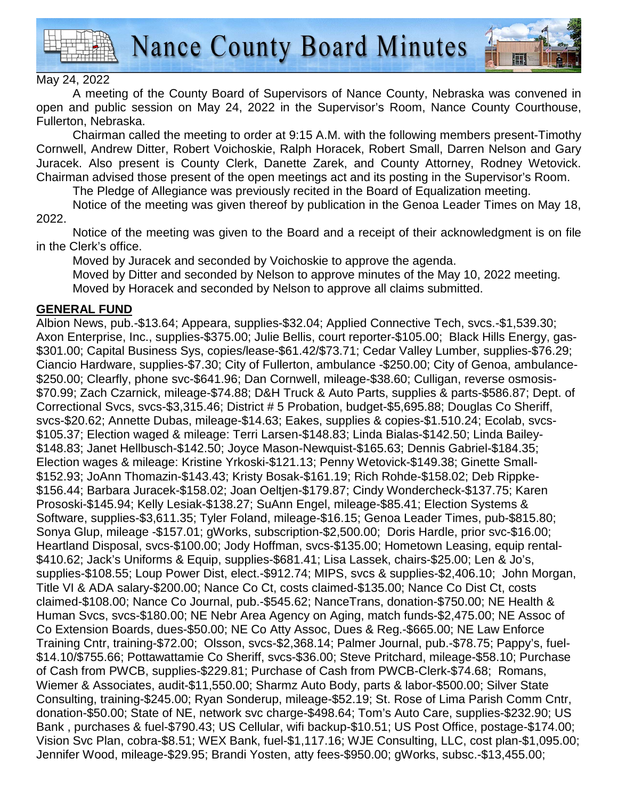



A meeting of the County Board of Supervisors of Nance County, Nebraska was convened in open and public session on May 24, 2022 in the Supervisor's Room, Nance County Courthouse, Fullerton, Nebraska.

 Chairman called the meeting to order at 9:15 A.M. with the following members present-Timothy Cornwell, Andrew Ditter, Robert Voichoskie, Ralph Horacek, Robert Small, Darren Nelson and Gary Juracek. Also present is County Clerk, Danette Zarek, and County Attorney, Rodney Wetovick. Chairman advised those present of the open meetings act and its posting in the Supervisor's Room.

The Pledge of Allegiance was previously recited in the Board of Equalization meeting.

 Notice of the meeting was given thereof by publication in the Genoa Leader Times on May 18, 2022.

Notice of the meeting was given to the Board and a receipt of their acknowledgment is on file in the Clerk's office.

Moved by Juracek and seconded by Voichoskie to approve the agenda.

Moved by Ditter and seconded by Nelson to approve minutes of the May 10, 2022 meeting. Moved by Horacek and seconded by Nelson to approve all claims submitted.

#### **GENERAL FUND**

Albion News, pub.-\$13.64; Appeara, supplies-\$32.04; Applied Connective Tech, svcs.-\$1,539.30; Axon Enterprise, Inc., supplies-\$375.00; Julie Bellis, court reporter-\$105.00; Black Hills Energy, gas- \$301.00; Capital Business Sys, copies/lease-\$61.42/\$73.71; Cedar Valley Lumber, supplies-\$76.29; Ciancio Hardware, supplies-\$7.30; City of Fullerton, ambulance -\$250.00; City of Genoa, ambulance- \$250.00; Clearfly, phone svc-\$641.96; Dan Cornwell, mileage-\$38.60; Culligan, reverse osmosis- \$70.99; Zach Czarnick, mileage-\$74.88; D&H Truck & Auto Parts, supplies & parts-\$586.87; Dept. of Correctional Svcs, svcs-\$3,315.46; District # 5 Probation, budget-\$5,695.88; Douglas Co Sheriff, svcs-\$20.62; Annette Dubas, mileage-\$14.63; Eakes, supplies & copies-\$1.510.24; Ecolab, svcs- \$105.37; Election waged & mileage: Terri Larsen-\$148.83; Linda Bialas-\$142.50; Linda Bailey- \$148.83; Janet Hellbusch-\$142.50; Joyce Mason-Newquist-\$165.63; Dennis Gabriel-\$184.35; Election wages & mileage: Kristine Yrkoski-\$121.13; Penny Wetovick-\$149.38; Ginette Small- \$152.93; JoAnn Thomazin-\$143.43; Kristy Bosak-\$161.19; Rich Rohde-\$158.02; Deb Rippke- \$156.44; Barbara Juracek-\$158.02; Joan Oeltjen-\$179.87; Cindy Wondercheck-\$137.75; Karen Prososki-\$145.94; Kelly Lesiak-\$138.27; SuAnn Engel, mileage-\$85.41; Election Systems & Software, supplies-\$3,611.35; Tyler Foland, mileage-\$16.15; Genoa Leader Times, pub-\$815.80; Sonya Glup, mileage -\$157.01; gWorks, subscription-\$2,500.00; Doris Hardle, prior svc-\$16.00; Heartland Disposal, svcs-\$100.00; Jody Hoffman, svcs-\$135.00; Hometown Leasing, equip rental- \$410.62; Jack's Uniforms & Equip, supplies-\$681.41; Lisa Lassek, chairs-\$25.00; Len & Jo's, supplies-\$108.55; Loup Power Dist, elect.-\$912.74; MIPS, svcs & supplies-\$2,406.10; John Morgan, Title VI & ADA salary-\$200.00; Nance Co Ct, costs claimed-\$135.00; Nance Co Dist Ct, costs claimed-\$108.00; Nance Co Journal, pub.-\$545.62; NanceTrans, donation-\$750.00; NE Health & Human Svcs, svcs-\$180.00; NE Nebr Area Agency on Aging, match funds-\$2,475.00; NE Assoc of Co Extension Boards, dues-\$50.00; NE Co Atty Assoc, Dues & Reg.-\$665.00; NE Law Enforce Training Cntr, training-\$72.00; Olsson, svcs-\$2,368.14; Palmer Journal, pub.-\$78.75; Pappy's, fuel- \$14.10/\$755.66; Pottawattamie Co Sheriff, svcs-\$36.00; Steve Pritchard, mileage-\$58.10; Purchase of Cash from PWCB, supplies-\$229.81; Purchase of Cash from PWCB-Clerk-\$74.68; Romans, Wiemer & Associates, audit-\$11,550.00; Sharmz Auto Body, parts & labor-\$500.00; Silver State Consulting, training-\$245.00; Ryan Sonderup, mileage-\$52.19; St. Rose of Lima Parish Comm Cntr, donation-\$50.00; State of NE, network svc charge-\$498.64; Tom's Auto Care, supplies-\$232.90; US Bank , purchases & fuel-\$790.43; US Cellular, wifi backup-\$10.51; US Post Office, postage-\$174.00; Vision Svc Plan, cobra-\$8.51; WEX Bank, fuel-\$1,117.16; WJE Consulting, LLC, cost plan-\$1,095.00; Jennifer Wood, mileage-\$29.95; Brandi Yosten, atty fees-\$950.00; gWorks, subsc.-\$13,455.00;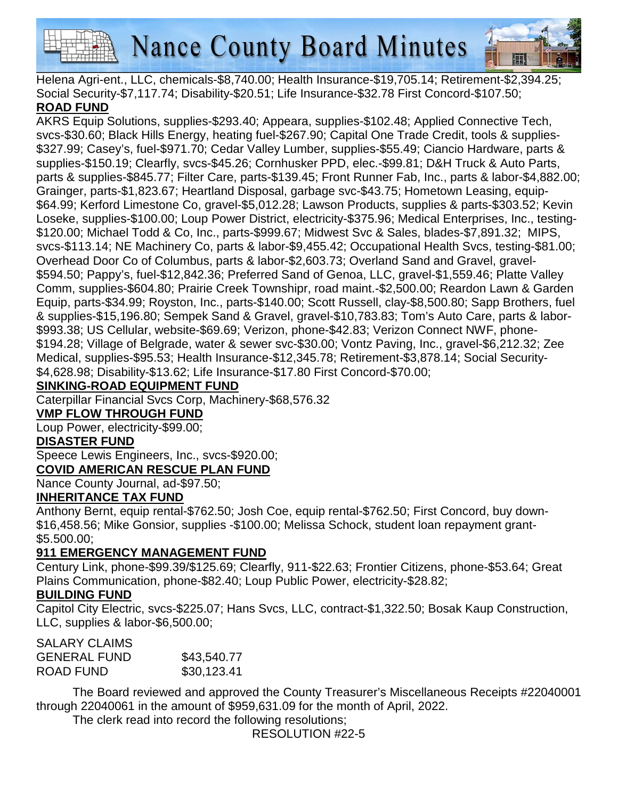



Helena Agri-ent., LLC, chemicals-\$8,740.00; Health Insurance-\$19,705.14; Retirement-\$2,394.25; Social Security-\$7,117.74; Disability-\$20.51; Life Insurance-\$32.78 First Concord-\$107.50;

### **ROAD FUND**

AKRS Equip Solutions, supplies-\$293.40; Appeara, supplies-\$102.48; Applied Connective Tech, svcs-\$30.60; Black Hills Energy, heating fuel-\$267.90; Capital One Trade Credit, tools & supplies- \$327.99; Casey's, fuel-\$971.70; Cedar Valley Lumber, supplies-\$55.49; Ciancio Hardware, parts & supplies-\$150.19; Clearfly, svcs-\$45.26; Cornhusker PPD, elec.-\$99.81; D&H Truck & Auto Parts, parts & supplies-\$845.77; Filter Care, parts-\$139.45; Front Runner Fab, Inc., parts & labor-\$4,882.00; Grainger, parts-\$1,823.67; Heartland Disposal, garbage svc-\$43.75; Hometown Leasing, equip- \$64.99; Kerford Limestone Co, gravel-\$5,012.28; Lawson Products, supplies & parts-\$303.52; Kevin Loseke, supplies-\$100.00; Loup Power District, electricity-\$375.96; Medical Enterprises, Inc., testing- \$120.00; Michael Todd & Co, Inc., parts-\$999.67; Midwest Svc & Sales, blades-\$7,891.32; MIPS, svcs-\$113.14; NE Machinery Co, parts & labor-\$9,455.42; Occupational Health Svcs, testing-\$81.00; Overhead Door Co of Columbus, parts & labor-\$2,603.73; Overland Sand and Gravel, gravel- \$594.50; Pappy's, fuel-\$12,842.36; Preferred Sand of Genoa, LLC, gravel-\$1,559.46; Platte Valley Comm, supplies-\$604.80; Prairie Creek Townshipr, road maint.-\$2,500.00; Reardon Lawn & Garden Equip, parts-\$34.99; Royston, Inc., parts-\$140.00; Scott Russell, clay-\$8,500.80; Sapp Brothers, fuel & supplies-\$15,196.80; Sempek Sand & Gravel, gravel-\$10,783.83; Tom's Auto Care, parts & labor- \$993.38; US Cellular, website-\$69.69; Verizon, phone-\$42.83; Verizon Connect NWF, phone- \$194.28; Village of Belgrade, water & sewer svc-\$30.00; Vontz Paving, Inc., gravel-\$6,212.32; Zee Medical, supplies-\$95.53; Health Insurance-\$12,345.78; Retirement-\$3,878.14; Social Security- \$4,628.98; Disability-\$13.62; Life Insurance-\$17.80 First Concord-\$70.00;

## **SINKING-ROAD EQUIPMENT FUND**

Caterpillar Financial Svcs Corp, Machinery-\$68,576.32

#### **VMP FLOW THROUGH FUND**

Loup Power, electricity-\$99.00;

### **DISASTER FUND**

Speece Lewis Engineers, Inc., svcs-\$920.00;

**COVID AMERICAN RESCUE PLAN FUND**

Nance County Journal, ad-\$97.50;

### **INHERITANCE TAX FUND**

Anthony Bernt, equip rental-\$762.50; Josh Coe, equip rental-\$762.50; First Concord, buy down- \$16,458.56; Mike Gonsior, supplies -\$100.00; Melissa Schock, student loan repayment grant- \$5.500.00;

# **911 EMERGENCY MANAGEMENT FUND**

Century Link, phone-\$99.39/\$125.69; Clearfly, 911-\$22.63; Frontier Citizens, phone-\$53.64; Great Plains Communication, phone-\$82.40; Loup Public Power, electricity-\$28.82;

### **BUILDING FUND**

Capitol City Electric, svcs-\$225.07; Hans Svcs, LLC, contract-\$1,322.50; Bosak Kaup Construction, LLC, supplies & labor-\$6,500.00;

### SALARY CLAIMS

| <b>GENERAL FUND</b> | \$43,540.77 |
|---------------------|-------------|
| ROAD FUND           | \$30,123.41 |

 The Board reviewed and approved the County Treasurer's Miscellaneous Receipts #22040001 through 22040061 in the amount of \$959,631.09 for the month of April, 2022.

The clerk read into record the following resolutions;

RESOLUTION #22-5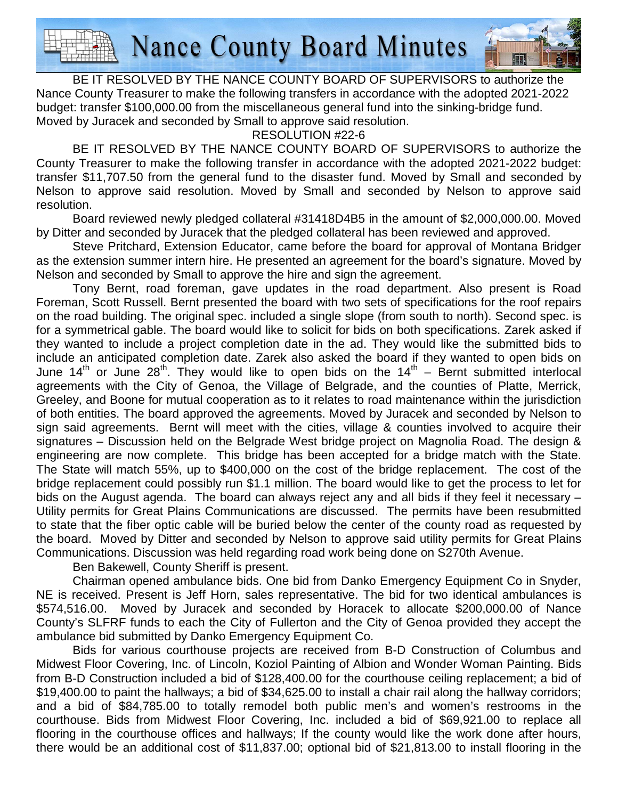

 BE IT RESOLVED BY THE NANCE COUNTY BOARD OF SUPERVISORS to authorize the Nance County Treasurer to make the following transfers in accordance with the adopted 2021-2022 budget: transfer \$100,000.00 from the miscellaneous general fund into the sinking-bridge fund. Moved by Juracek and seconded by Small to approve said resolution.

RESOLUTION #22-6

 BE IT RESOLVED BY THE NANCE COUNTY BOARD OF SUPERVISORS to authorize the County Treasurer to make the following transfer in accordance with the adopted 2021-2022 budget: transfer \$11,707.50 from the general fund to the disaster fund. Moved by Small and seconded by Nelson to approve said resolution. Moved by Small and seconded by Nelson to approve said resolution.

 Board reviewed newly pledged collateral #31418D4B5 in the amount of \$2,000,000.00. Moved by Ditter and seconded by Juracek that the pledged collateral has been reviewed and approved.

 Steve Pritchard, Extension Educator, came before the board for approval of Montana Bridger as the extension summer intern hire. He presented an agreement for the board's signature. Moved by Nelson and seconded by Small to approve the hire and sign the agreement.

 Tony Bernt, road foreman, gave updates in the road department. Also present is Road Foreman, Scott Russell. Bernt presented the board with two sets of specifications for the roof repairs on the road building. The original spec. included a single slope (from south to north). Second spec. is for a symmetrical gable. The board would like to solicit for bids on both specifications. Zarek asked if they wanted to include a project completion date in the ad. They would like the submitted bids to include an anticipated completion date. Zarek also asked the board if they wanted to open bids on June 14<sup>th</sup> or June 28<sup>th</sup>. They would like to open bids on the 14<sup>th</sup> – Bernt submitted interlocal agreements with the City of Genoa, the Village of Belgrade, and the counties of Platte, Merrick, Greeley, and Boone for mutual cooperation as to it relates to road maintenance within the jurisdiction of both entities. The board approved the agreements. Moved by Juracek and seconded by Nelson to sign said agreements. Bernt will meet with the cities, village & counties involved to acquire their signatures – Discussion held on the Belgrade West bridge project on Magnolia Road. The design & engineering are now complete. This bridge has been accepted for a bridge match with the State. The State will match 55%, up to \$400,000 on the cost of the bridge replacement. The cost of the bridge replacement could possibly run \$1.1 million. The board would like to get the process to let for bids on the August agenda. The board can always reject any and all bids if they feel it necessary – Utility permits for Great Plains Communications are discussed. The permits have been resubmitted to state that the fiber optic cable will be buried below the center of the county road as requested by the board. Moved by Ditter and seconded by Nelson to approve said utility permits for Great Plains Communications. Discussion was held regarding road work being done on S270th Avenue.

Ben Bakewell, County Sheriff is present.

Chairman opened ambulance bids. One bid from Danko Emergency Equipment Co in Snyder, NE is received. Present is Jeff Horn, sales representative. The bid for two identical ambulances is \$574,516.00. Moved by Juracek and seconded by Horacek to allocate \$200,000.00 of Nance County's SLFRF funds to each the City of Fullerton and the City of Genoa provided they accept the ambulance bid submitted by Danko Emergency Equipment Co.

Bids for various courthouse projects are received from B-D Construction of Columbus and Midwest Floor Covering, Inc. of Lincoln, Koziol Painting of Albion and Wonder Woman Painting. Bids from B-D Construction included a bid of \$128,400.00 for the courthouse ceiling replacement; a bid of \$19,400.00 to paint the hallways; a bid of \$34,625.00 to install a chair rail along the hallway corridors; and a bid of \$84,785.00 to totally remodel both public men's and women's restrooms in the courthouse. Bids from Midwest Floor Covering, Inc. included a bid of \$69,921.00 to replace all flooring in the courthouse offices and hallways; If the county would like the work done after hours, there would be an additional cost of \$11,837.00; optional bid of \$21,813.00 to install flooring in the